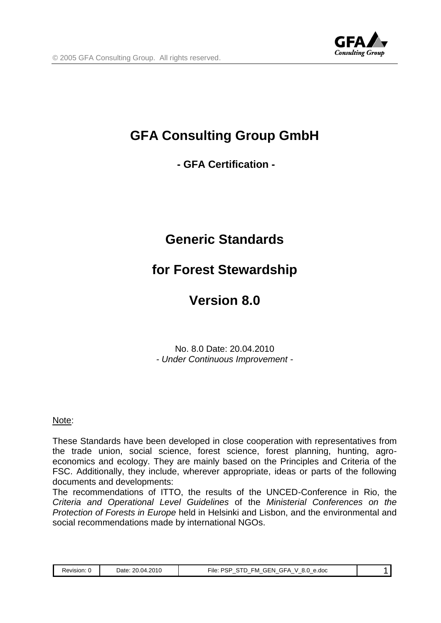

# **GFA Consulting Group GmbH**

**- GFA Certification -**

## **Generic Standards**

## **for Forest Stewardship**

## **Version 8.0**

No. 8.0 Date: 20.04.2010 *- Under Continuous Improvement -*

Note:

These Standards have been developed in close cooperation with representatives from the trade union, social science, forest science, forest planning, hunting, agroeconomics and ecology. They are mainly based on the Principles and Criteria of the FSC. Additionally, they include, wherever appropriate, ideas or parts of the following documents and developments:

The recommendations of ITTO, the results of the UNCED-Conference in Rio, the *Criteria and Operational Level Guidelines* of the *Ministerial Conferences on the Protection of Forests in Europe* held in Helsinki and Lisbon, and the environmental and social recommendations made by international NGOs.

|--|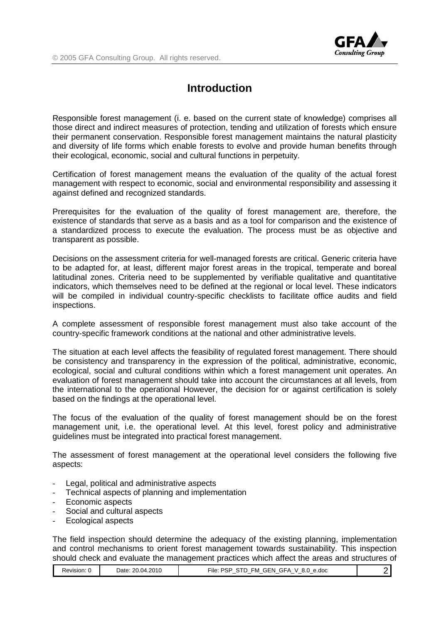

## **Introduction**

Responsible forest management (i. e. based on the current state of knowledge) comprises all those direct and indirect measures of protection, tending and utilization of forests which ensure their permanent conservation. Responsible forest management maintains the natural plasticity and diversity of life forms which enable forests to evolve and provide human benefits through their ecological, economic, social and cultural functions in perpetuity.

Certification of forest management means the evaluation of the quality of the actual forest management with respect to economic, social and environmental responsibility and assessing it against defined and recognized standards.

Prerequisites for the evaluation of the quality of forest management are, therefore, the existence of standards that serve as a basis and as a tool for comparison and the existence of a standardized process to execute the evaluation. The process must be as objective and transparent as possible.

Decisions on the assessment criteria for well-managed forests are critical. Generic criteria have to be adapted for, at least, different major forest areas in the tropical, temperate and boreal latitudinal zones. Criteria need to be supplemented by verifiable qualitative and quantitative indicators, which themselves need to be defined at the regional or local level. These indicators will be compiled in individual country-specific checklists to facilitate office audits and field inspections.

A complete assessment of responsible forest management must also take account of the country-specific framework conditions at the national and other administrative levels.

The situation at each level affects the feasibility of regulated forest management. There should be consistency and transparency in the expression of the political, administrative, economic, ecological, social and cultural conditions within which a forest management unit operates. An evaluation of forest management should take into account the circumstances at all levels, from the international to the operational However, the decision for or against certification is solely based on the findings at the operational level.

The focus of the evaluation of the quality of forest management should be on the forest management unit, i.e. the operational level. At this level, forest policy and administrative guidelines must be integrated into practical forest management.

The assessment of forest management at the operational level considers the following five aspects:

- Legal, political and administrative aspects
- Technical aspects of planning and implementation
- Economic aspects
- Social and cultural aspects
- Ecological aspects

The field inspection should determine the adequacy of the existing planning, implementation and control mechanisms to orient forest management towards sustainability. This inspection should check and evaluate the management practices which affect the areas and structures of

| пг<br>. T I<br>$\cdot$<br>. .<br>$\overline{\phantom{a}}$<br>$-$<br>-<br>$-$<br>--<br>$\overline{\phantom{a}}$<br>.<br>$\overline{\phantom{a}}$<br>_____<br>.<br>. . | !VISION | 2010<br>04<br>)ate | ---<br>יים ב<br>e.doc<br>٠ıle<br>∹⊢N<br>∼M |  |
|----------------------------------------------------------------------------------------------------------------------------------------------------------------------|---------|--------------------|--------------------------------------------|--|
|----------------------------------------------------------------------------------------------------------------------------------------------------------------------|---------|--------------------|--------------------------------------------|--|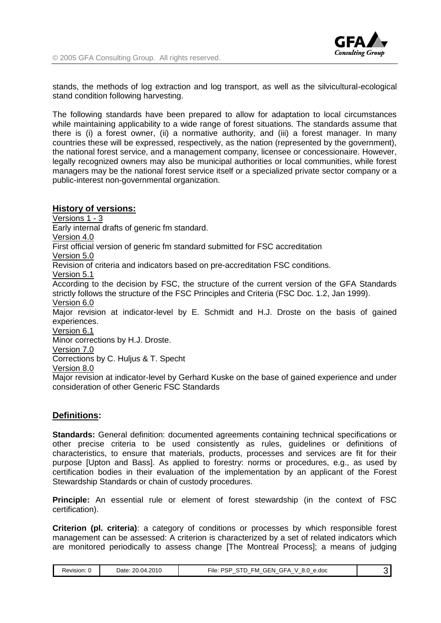

stands, the methods of log extraction and log transport, as well as the silvicultural-ecological stand condition following harvesting.

The following standards have been prepared to allow for adaptation to local circumstances while maintaining applicability to a wide range of forest situations. The standards assume that there is (i) a forest owner, (ii) a normative authority, and (iii) a forest manager. In many countries these will be expressed, respectively, as the nation (represented by the government), the national forest service, and a management company, licensee or concessionaire. However, legally recognized owners may also be municipal authorities or local communities, while forest managers may be the national forest service itself or a specialized private sector company or a public-interest non-governmental organization.

## **History of versions:**

Versions 1 - 3

Early internal drafts of generic fm standard.

Version 4.0

First official version of generic fm standard submitted for FSC accreditation

Version 5.0

Revision of criteria and indicators based on pre-accreditation FSC conditions.

Version 5.1

According to the decision by FSC, the structure of the current version of the GFA Standards strictly follows the structure of the FSC Principles and Criteria (FSC Doc. 1.2, Jan 1999).

Version 6.0

Major revision at indicator-level by E. Schmidt and H.J. Droste on the basis of gained experiences.

Version 6.1

Minor corrections by H.J. Droste.

Version 7.0

Corrections by C. Huljus & T. Specht

Version 8.0

Major revision at indicator-level by Gerhard Kuske on the base of gained experience and under consideration of other Generic FSC Standards

## **Definitions:**

**Standards:** General definition: documented agreements containing technical specifications or other precise criteria to be used consistently as rules, guidelines or definitions of characteristics, to ensure that materials, products, processes and services are fit for their purpose [Upton and Bass]. As applied to forestry: norms or procedures, e.g., as used by certification bodies in their evaluation of the implementation by an applicant of the Forest Stewardship Standards or chain of custody procedures.

**Principle:** An essential rule or element of forest stewardship (in the context of FSC certification).

**Criterion (pl. criteria)**: a category of conditions or processes by which responsible forest management can be assessed: A criterion is characterized by a set of related indicators which are monitored periodically to assess change [The Montreal Process]; a means of judging

| <b></b><br>.2010<br>21<br>יזר<br>⊢ıle.<br>evision<br>e.doc<br>GHN<br>ے 10<br>۱Δ<br>۰M<br>---<br>יה<br>ור<br>.<br>$\cdot\cdot\cdot$<br>-<br>-<br>$-$<br>$-$<br>$\overline{\phantom{a}}$<br>$\overline{\phantom{a}}$<br>-<br>.<br>__<br>$\sim$<br>. |  |
|---------------------------------------------------------------------------------------------------------------------------------------------------------------------------------------------------------------------------------------------------|--|
|---------------------------------------------------------------------------------------------------------------------------------------------------------------------------------------------------------------------------------------------------|--|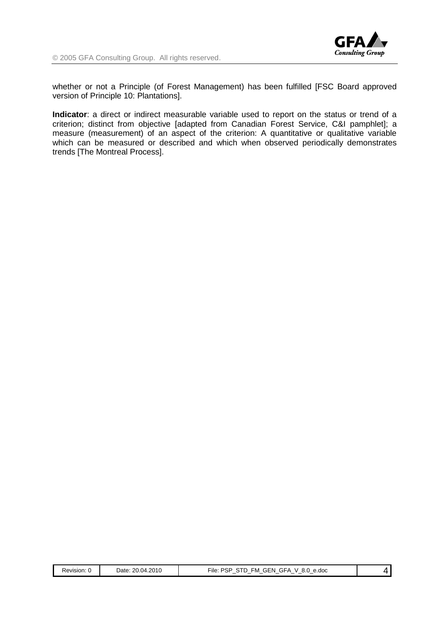

whether or not a Principle (of Forest Management) has been fulfilled [FSC Board approved version of Principle 10: Plantations].

**Indicator**: a direct or indirect measurable variable used to report on the status or trend of a criterion; distinct from objective [adapted from Canadian Forest Service, C&I pamphlet]; a measure (measurement) of an aspect of the criterion: A quantitative or qualitative variable which can be measured or described and which when observed periodically demonstrates trends [The Montreal Process].

| Revision: | 4.2010<br>20.04<br>Date | $\sim$ $-$<br>GEN<br>⊇SP<br>™ile.<br>e.doc<br>.-M<br>⊬∸ان<br>. .<br>u.<br>-<br>-<br>$\overline{\phantom{a}}$<br>$\overline{\phantom{a}}$ |  |
|-----------|-------------------------|------------------------------------------------------------------------------------------------------------------------------------------|--|
|-----------|-------------------------|------------------------------------------------------------------------------------------------------------------------------------------|--|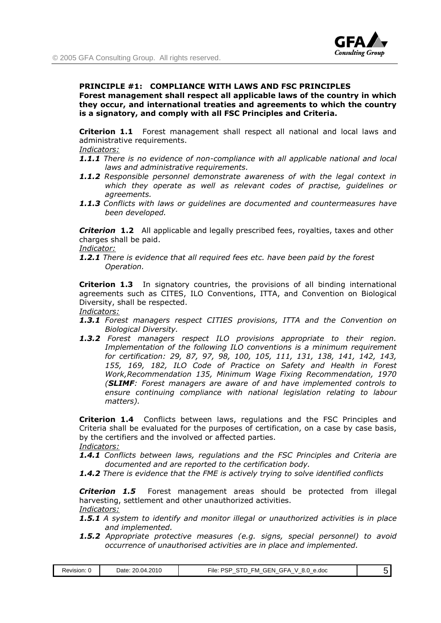

#### **PRINCIPLE #1: COMPLIANCE WITH LAWS AND FSC PRINCIPLES Forest management shall respect all applicable laws of the country in which they occur, and international treaties and agreements to which the country is a signatory, and comply with all FSC Principles and Criteria.**

**Criterion 1.1** Forest management shall respect all national and local laws and administrative requirements.

*Indicators:*

- *1.1.1 There is no evidence of non-compliance with all applicable national and local laws and administrative requirements.*
- *1.1.2 Responsible personnel demonstrate awareness of with the legal context in which they operate as well as relevant codes of practise, guidelines or agreements.*
- *1.1.3 Conflicts with laws or guidelines are documented and countermeasures have been developed.*

*Criterion* **1.2** All applicable and legally prescribed fees, royalties, taxes and other charges shall be paid.

*Indicator:*

*1.2.1 There is evidence that all required fees etc. have been paid by the forest Operation.*

**Criterion 1.3** In signatory countries, the provisions of all binding international agreements such as CITES, ILO Conventions, ITTA, and Convention on Biological Diversity, shall be respected.

*Indicators:*

- *1.3.1 Forest managers respect CITIES provisions, ITTA and the Convention on Biological Diversity.*
- *1.3.2 Forest managers respect ILO provisions appropriate to their region. Implementation of the following ILO conventions is a minimum requirement for certification: 29, 87, 97, 98, 100, 105, 111, 131, 138, 141, 142, 143, 155, 169, 182, ILO Code of Practice on Safety and Health in Forest Work,Recommendation 135, Minimum Wage Fixing Recommendation, 1970 (SLIMF: Forest managers are aware of and have implemented controls to ensure continuing compliance with national legislation relating to labour matters).*

**Criterion 1.4** Conflicts between laws, regulations and the FSC Principles and Criteria shall be evaluated for the purposes of certification, on a case by case basis, by the certifiers and the involved or affected parties.

*Indicators:*

- *1.4.1 Conflicts between laws, regulations and the FSC Principles and Criteria are documented and are reported to the certification body.*
- *1.4.2 There is evidence that the FME is actively trying to solve identified conflicts*

**Criterion 1.5** Forest management areas should be protected from illegal harvesting, settlement and other unauthorized activities. *Indicators:*

- *1.5.1 A system to identify and monitor illegal or unauthorized activities is in place and implemented.*
- *1.5.2 Appropriate protective measures (e.g. signs, special personnel) to avoid occurrence of unauthorised activities are in place and implemented.*

| Revision: | 4.2010<br>20.04.<br>Date | $- \cdot \cdot$<br>יסנ<br>e.doc<br>·ıle<br>GEN<br>-M<br>$\mathbf{r}$<br><br>u٣<br>$\sim$<br>$\mathbf{v}$<br>o.u<br>۱ ت<br>اد<br>$-$<br>$\overline{\phantom{a}}$<br>$\overline{\phantom{a}}$<br>$\overline{\phantom{a}}$<br>$\overline{\phantom{a}}$<br>$\overline{\phantom{a}}$<br>$\overline{\phantom{a}}$ |  |  |
|-----------|--------------------------|-------------------------------------------------------------------------------------------------------------------------------------------------------------------------------------------------------------------------------------------------------------------------------------------------------------|--|--|
|-----------|--------------------------|-------------------------------------------------------------------------------------------------------------------------------------------------------------------------------------------------------------------------------------------------------------------------------------------------------------|--|--|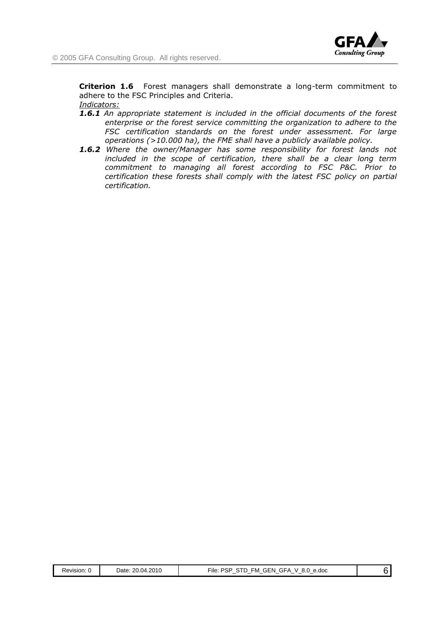

**Criterion 1.6** Forest managers shall demonstrate a long-term commitment to adhere to the FSC Principles and Criteria. *Indicators:*

- *1.6.1 An appropriate statement is included in the official documents of the forest enterprise or the forest service committing the organization to adhere to the FSC certification standards on the forest under assessment. For large operations (>10.000 ha), the FME shall have a publicly available policy.*
- *1.6.2 Where the owner/Manager has some responsibility for forest lands not included in the scope of certification, there shall be a clear long term commitment to managing all forest according to FSC P&C. Prior to certification these forests shall comply with the latest FSC policy on partial certification.*

| 4.2010<br>20.04<br><b>PSP</b><br>GEN<br>GFA<br>۰M<br>e.doc<br>⊃ate<br>Revision:<br>te.⊦<br>$\mathbf{v}$<br>ن ۱۱ د.<br>- 12<br>-<br>.<br> |  |
|------------------------------------------------------------------------------------------------------------------------------------------|--|
|------------------------------------------------------------------------------------------------------------------------------------------|--|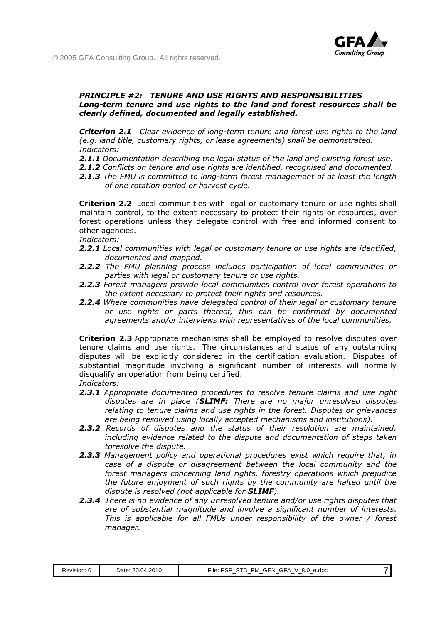

#### *PRINCIPLE #2: TENURE AND USE RIGHTS AND RESPONSIBILITIES Long-term tenure and use rights to the land and forest resources shall be clearly defined, documented and legally established.*

*Criterion 2.1 Clear evidence of long-term tenure and forest use rights to the land (e.g. land title, customary rights, or lease agreements) shall be demonstrated. Indicators:*

- *2.1.1 Documentation describing the legal status of the land and existing forest use.*
- *2.1.2 Conflicts on tenure and use rights are identified, recognised and documented.*
- *2.1.3 The FMU is committed to long-term forest management of at least the length of one rotation period or harvest cycle.*

**Criterion 2.2** Local communities with legal or customary tenure or use rights shall maintain control, to the extent necessary to protect their rights or resources, over forest operations unless they delegate control with free and informed consent to other agencies.

#### *Indicators:*

- *2.2.1 Local communities with legal or customary tenure or use rights are identified, documented and mapped.*
- *2.2.2 The FMU planning process includes participation of local communities or parties with legal or customary tenure or use rights.*
- *2.2.3 Forest managers provide local communities control over forest operations to the extent necessary to protect their rights and resources.*
- *2.2.4 Where communities have delegated control of their legal or customary tenure or use rights or parts thereof, this can be confirmed by documented agreements and/or interviews with representatives of the local communities.*

**Criterion 2.3** Appropriate mechanisms shall be employed to resolve disputes over tenure claims and use rights. The circumstances and status of any outstanding disputes will be explicitly considered in the certification evaluation. Disputes of substantial magnitude involving a significant number of interests will normally disqualify an operation from being certified.

#### *Indicators: 2.3.1 Appropriate documented procedures to resolve tenure claims and use right disputes are in place (SLIMF: There are no major unresolved disputes relating to tenure claims and use rights in the forest. Disputes or grievances are being resolved using locally accepted mechanisms and institutions).*

- *2.3.2 Records of disputes and the status of their resolution are maintained, including evidence related to the dispute and documentation of steps taken toresolve the dispute.*
- *2.3.3 Management policy and operational procedures exist which require that, in case of a dispute or disagreement between the local community and the forest managers concerning land rights, forestry operations which prejudice the future enjoyment of such rights by the community are halted until the dispute is resolved (not applicable for SLIMF).*
- *2.3.4 There is no evidence of any unresolved tenure and/or use rights disputes that are of substantial magnitude and involve a significant number of interests. This is applicable for all FMUs under responsibility of the owner / forest manager.*

|  | Revision. | 4.2010<br>20.04<br>Date: | $\sim$ $\sim$<br>PSF<br>-ıle<br>e.doc<br>GEN<br>ЧЧ−<br>.-i⊢ <i>P</i><br>$\mathbf{v}$<br>-<br>$\overline{\phantom{a}}$<br>$\overline{\phantom{a}}$ |  |
|--|-----------|--------------------------|---------------------------------------------------------------------------------------------------------------------------------------------------|--|
|--|-----------|--------------------------|---------------------------------------------------------------------------------------------------------------------------------------------------|--|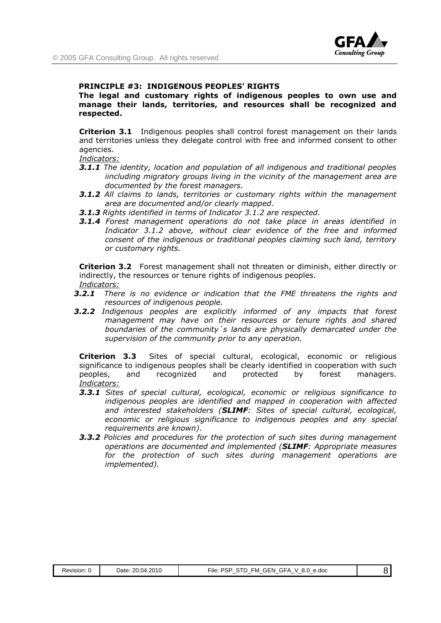

## **PRINCIPLE #3: INDIGENOUS PEOPLES' RIGHTS**

**The legal and customary rights of indigenous peoples to own use and manage their lands, territories, and resources shall be recognized and respected.**

**Criterion 3.1** Indigenous peoples shall control forest management on their lands and territories unless they delegate control with free and informed consent to other agencies.

### *Indicators:*

- *3.1.1 The identity, location and population of all indigenous and traditional peoples iincluding migratory groups living in the vicinity of the management area are documented by the forest managers.*
- *3.1.2 All claims to lands, territories or customary rights within the management area are documented and/or clearly mapped.*
- *3.1.3 Rights identified in terms of Indicator 3.1.2 are respected.*
- *3.1.4 Forest management operations do not take place in areas identified in Indicator 3.1.2 above, without clear evidence of the free and informed consent of the indigenous or traditional peoples claiming such land, territory or customary rights.*

**Criterion 3.2** Forest management shall not threaten or diminish, either directly or indirectly, the resources or tenure rights of indigenous peoples. *Indicators:*

- *3.2.1 There is no evidence or indication that the FME threatens the rights and resources of indigenous people.*
- *3.2.2 Indigenous peoples are explicitly informed of any impacts that forest management may have on their resources or tenure rights and shared boundaries of the community´s lands are physically demarcated under the supervision of the community prior to any operation.*

**Criterion 3.3** Sites of special cultural, ecological, economic or religious significance to indigenous peoples shall be clearly identified in cooperation with such peoples, and recognized and protected by forest managers. *Indicators:*

- *3.3.1 Sites of special cultural, ecological, economic or religious significance to indigenous peoples are identified and mapped in cooperation with affected and interested stakeholders (SLIMF: Sites of special cultural, ecological, economic or religious significance to indigenous peoples and any special requirements are known).*
- *3.3.2 Policies and procedures for the protection of such sites during management operations are documented and implemented (SLIMF: Appropriate measures for the protection of such sites during management operations are implemented).*

| Revision: | 4.2010<br>20.04<br>Date: | ---<br><b>PSP</b><br>GEN.<br>e doc<br>GFA<br>File<br>-M<br>. .<br>ا اد.<br>υ.υ<br>$-$<br>$\sim$ |  |
|-----------|--------------------------|-------------------------------------------------------------------------------------------------|--|
|           |                          |                                                                                                 |  |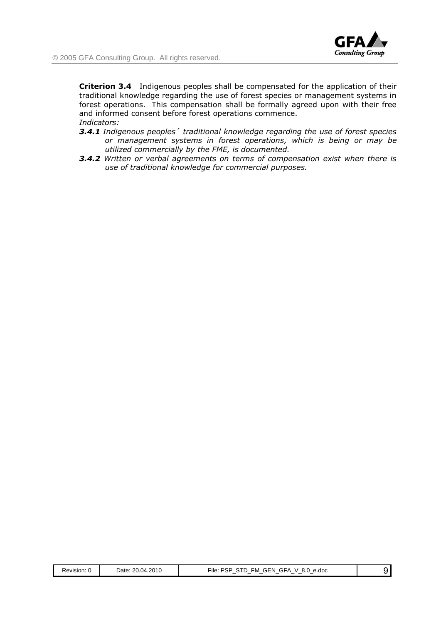

**Criterion 3.4** Indigenous peoples shall be compensated for the application of their traditional knowledge regarding the use of forest species or management systems in forest operations. This compensation shall be formally agreed upon with their free and informed consent before forest operations commence. *Indicators:*

- *3.4.1 Indigenous peoples´ traditional knowledge regarding the use of forest species or management systems in forest operations, which is being or may be utilized commercially by the FME, is documented.*
- *3.4.2 Written or verbal agreements on terms of compensation exist when there is use of traditional knowledge for commercial purposes.*

| Revision: | 4.2010<br>20.04.<br>Date: | <b>GEN GFA</b><br><b>PSP</b><br>File:<br>8.0<br>FM.<br>.STD<br>e.doc<br>$\mathcal{U}$<br>- |  |
|-----------|---------------------------|--------------------------------------------------------------------------------------------|--|
|-----------|---------------------------|--------------------------------------------------------------------------------------------|--|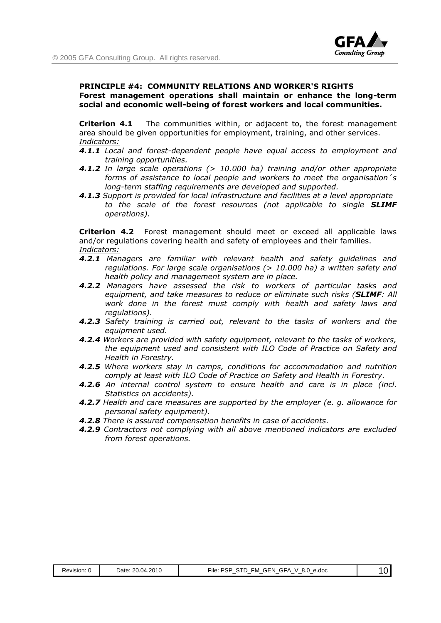

#### **PRINCIPLE #4: COMMUNITY RELATIONS AND WORKER'S RIGHTS Forest management operations shall maintain or enhance the long-term social and economic well-being of forest workers and local communities.**

**Criterion 4.1** The communities within, or adjacent to, the forest management area should be given opportunities for employment, training, and other services. *Indicators:*

- *4.1.1 Local and forest-dependent people have equal access to employment and training opportunities.*
- *4.1.2 In large scale operations (> 10.000 ha) training and/or other appropriate forms of assistance to local people and workers to meet the organisation´s long-term staffing requirements are developed and supported.*
- *4.1.3 Support is provided for local infrastructure and facilities at a level appropriate to the scale of the forest resources (not applicable to single SLIMF operations).*

**Criterion 4.2** Forest management should meet or exceed all applicable laws and/or regulations covering health and safety of employees and their families. *Indicators:*

- *4.2.1 Managers are familiar with relevant health and safety guidelines and regulations. For large scale organisations (> 10.000 ha) a written safety and health policy and management system are in place.*
- *4.2.2 Managers have assessed the risk to workers of particular tasks and equipment, and take measures to reduce or eliminate such risks (SLIMF: All work done in the forest must comply with health and safety laws and regulations).*
- *4.2.3 Safety training is carried out, relevant to the tasks of workers and the equipment used.*
- *4.2.4 Workers are provided with safety equipment, relevant to the tasks of workers, the equipment used and consistent with ILO Code of Practice on Safety and Health in Forestry.*
- *4.2.5 Where workers stay in camps, conditions for accommodation and nutrition comply at least with ILO Code of Practice on Safety and Health in Forestry.*
- *4.2.6 An internal control system to ensure health and care is in place (incl. Statistics on accidents).*
- *4.2.7 Health and care measures are supported by the employer (e. g. allowance for personal safety equipment).*
- *4.2.8 There is assured compensation benefits in case of accidents.*
- *4.2.9 Contractors not complying with all above mentioned indicators are excluded from forest operations.*

| $\sim$ $\sim$ $\sim$<br><b>GEN</b><br><b>PSP</b><br>: 20.04.2010<br>റ<br>GFA<br>ΞM<br>e.doc<br>Revision:<br>-ıle∶<br>Date:<br>v.u<br>- |  |
|----------------------------------------------------------------------------------------------------------------------------------------|--|
|----------------------------------------------------------------------------------------------------------------------------------------|--|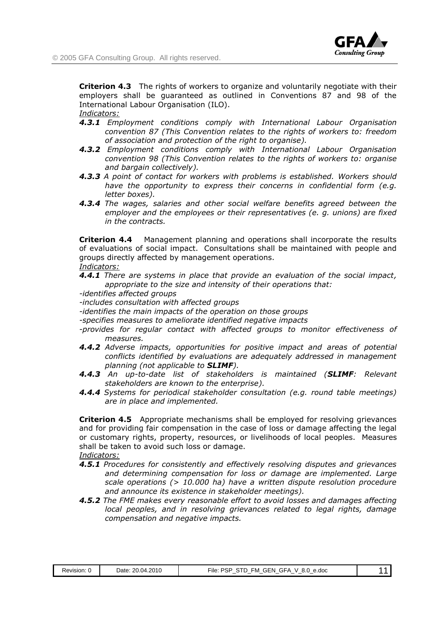

**Criterion 4.3** The rights of workers to organize and voluntarily negotiate with their employers shall be guaranteed as outlined in Conventions 87 and 98 of the International Labour Organisation (ILO).

*Indicators:*

- *4.3.1 Employment conditions comply with International Labour Organisation convention 87 (This Convention relates to the rights of workers to: freedom of association and protection of the right to organise).*
- *4.3.2 Employment conditions comply with International Labour Organisation convention 98 (This Convention relates to the rights of workers to: organise and bargain collectively).*
- *4.3.3 A point of contact for workers with problems is established. Workers should have the opportunity to express their concerns in confidential form (e.g. letter boxes).*
- *4.3.4 The wages, salaries and other social welfare benefits agreed between the employer and the employees or their representatives (e. g. unions) are fixed in the contracts.*

**Criterion 4.4** Management planning and operations shall incorporate the results of evaluations of social impact. Consultations shall be maintained with people and groups directly affected by management operations. *Indicators:*

- *4.4.1 There are systems in place that provide an evaluation of the social impact, appropriate to the size and intensity of their operations that:*
- *-identifies affected groups*
- *-includes consultation with affected groups*
- *-identifies the main impacts of the operation on those groups*
- *-specifies measures to ameliorate identified negative impacts*
- *-provides for regular contact with affected groups to monitor effectiveness of measures.*
- *4.4.2 Adverse impacts, opportunities for positive impact and areas of potential conflicts identified by evaluations are adequately addressed in management planning (not applicable to SLIMF).*
- *4.4.3 An up-to-date list of stakeholders is maintained (SLIMF: Relevant stakeholders are known to the enterprise).*
- *4.4.4 Systems for periodical stakeholder consultation (e.g. round table meetings) are in place and implemented.*

**Criterion 4.5** Appropriate mechanisms shall be employed for resolving grievances and for providing fair compensation in the case of loss or damage affecting the legal or customary rights, property, resources, or livelihoods of local peoples. Measures shall be taken to avoid such loss or damage.

- *4.5.1 Procedures for consistently and effectively resolving disputes and grievances and determining compensation for loss or damage are implemented. Large scale operations (> 10.000 ha) have a written dispute resolution procedure and announce its existence in stakeholder meetings).*
- *4.5.2 The FME makes every reasonable effort to avoid losses and damages affecting local peoples, and in resolving grievances related to legal rights, damage compensation and negative impacts.*

| Revision: | 20.04.2010<br>Date | File.<br>ner<br>GFA<br>٠M<br>e.doc<br>÷⊢N<br>M<br>১া<br>эг<br>பட<br>u.<br>-<br>-<br>-<br>-<br>$\overline{\phantom{a}}$<br>$\overline{\phantom{a}}$ |  |
|-----------|--------------------|----------------------------------------------------------------------------------------------------------------------------------------------------|--|
|           |                    |                                                                                                                                                    |  |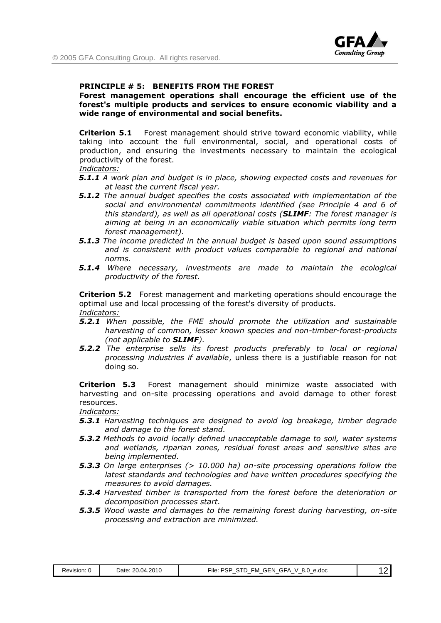

## **PRINCIPLE # 5: BENEFITS FROM THE FOREST**

**Forest management operations shall encourage the efficient use of the forest's multiple products and services to ensure economic viability and a wide range of environmental and social benefits.**

**Criterion 5.1** Forest management should strive toward economic viability, while taking into account the full environmental, social, and operational costs of production, and ensuring the investments necessary to maintain the ecological productivity of the forest.

#### *Indicators:*

- *5.1.1 A work plan and budget is in place, showing expected costs and revenues for at least the current fiscal year.*
- *5.1.2 The annual budget specifies the costs associated with implementation of the social and environmental commitments identified (see Principle 4 and 6 of this standard), as well as all operational costs (SLIMF: The forest manager is aiming at being in an economically viable situation which permits long term forest management).*
- *5.1.3 The income predicted in the annual budget is based upon sound assumptions and is consistent with product values comparable to regional and national norms.*
- *5.1.4 Where necessary, investments are made to maintain the ecological productivity of the forest.*

**Criterion 5.2** Forest management and marketing operations should encourage the optimal use and local processing of the forest's diversity of products. *Indicators:*

- *5.2.1 When possible, the FME should promote the utilization and sustainable harvesting of common, lesser known species and non-timber-forest-products (not applicable to SLIMF).*
- *5.2.2 The enterprise sells its forest products preferably to local or regional processing industries if available*, unless there is a justifiable reason for not doing so.

**Criterion 5.3** Forest management should minimize waste associated with harvesting and on-site processing operations and avoid damage to other forest resources.

- *5.3.1 Harvesting techniques are designed to avoid log breakage, timber degrade and damage to the forest stand.*
- *5.3.2 Methods to avoid locally defined unacceptable damage to soil, water systems and wetlands, riparian zones, residual forest areas and sensitive sites are being implemented.*
- *5.3.3 On large enterprises (> 10.000 ha) on-site processing operations follow the latest standards and technologies and have written procedures specifying the measures to avoid damages.*
- *5.3.4 Harvested timber is transported from the forest before the deterioration or decomposition processes start.*
- *5.3.5 Wood waste and damages to the remaining forest during harvesting, on-site processing and extraction are minimized.*

| Revision. | 4.2010<br>20.04<br>Date | File.<br>ner<br>8.0<br>GF<br>ЧT.<br>.-FN<br>e.doc<br>$\mathbf{v}$<br>⊢M<br>ు⊬<br>∼<br>$\overline{\phantom{a}}$<br>-<br>- |  |
|-----------|-------------------------|--------------------------------------------------------------------------------------------------------------------------|--|
|           |                         |                                                                                                                          |  |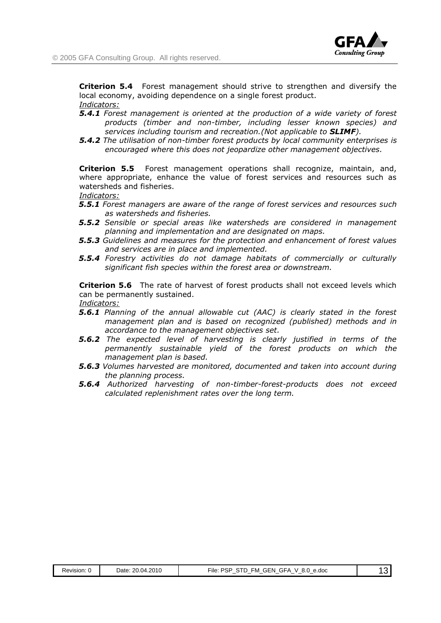

**Criterion 5.4** Forest management should strive to strengthen and diversify the local economy, avoiding dependence on a single forest product. *Indicators:*

- *5.4.1 Forest management is oriented at the production of a wide variety of forest products (timber and non-timber, including lesser known species) and services including tourism and recreation.(Not applicable to SLIMF).*
- *5.4.2 The utilisation of non-timber forest products by local community enterprises is encouraged where this does not jeopardize other management objectives.*

**Criterion 5.5** Forest management operations shall recognize, maintain, and, where appropriate, enhance the value of forest services and resources such as watersheds and fisheries.

#### *Indicators:*

- *5.5.1 Forest managers are aware of the range of forest services and resources such as watersheds and fisheries.*
- *5.5.2 Sensible or special areas like watersheds are considered in management planning and implementation and are designated on maps.*
- *5.5.3 Guidelines and measures for the protection and enhancement of forest values and services are in place and implemented.*
- *5.5.4 Forestry activities do not damage habitats of commercially or culturally significant fish species within the forest area or downstream.*

**Criterion 5.6** The rate of harvest of forest products shall not exceed levels which can be permanently sustained.

- *5.6.1 Planning of the annual allowable cut (AAC) is clearly stated in the forest management plan and is based on recognized (published) methods and in accordance to the management objectives set.*
- *5.6.2 The expected level of harvesting is clearly justified in terms of the permanently sustainable yield of the forest products on which the management plan is based.*
- *5.6.3 Volumes harvested are monitored, documented and taken into account during the planning process.*
- *5.6.4 Authorized harvesting of non-timber-forest-products does not exceed calculated replenishment rates over the long term.*

| ---<br>GEN<br><b>PSP</b><br>20.04.2010<br>8.0<br>-M<br>GFA<br>e.doc<br>Revision.<br>Date:<br>⊢ıle.<br>e<br>$\mathbf{v}$<br>۱۲ د<br>л.<br>-<br>$\overline{\phantom{a}}$ |  |
|------------------------------------------------------------------------------------------------------------------------------------------------------------------------|--|
|------------------------------------------------------------------------------------------------------------------------------------------------------------------------|--|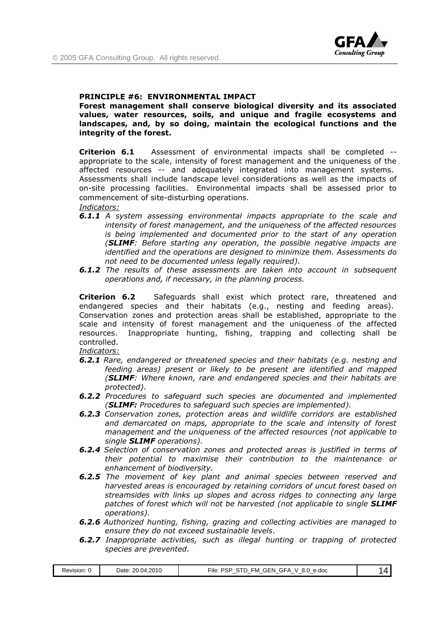

## **PRINCIPLE #6: ENVIRONMENTAL IMPACT**

#### **Forest management shall conserve biological diversity and its associated values, water resources, soils, and unique and fragile ecosystems and landscapes, and, by so doing, maintain the ecological functions and the integrity of the forest.**

**Criterion 6.1** Assessment of environmental impacts shall be completed - appropriate to the scale, intensity of forest management and the uniqueness of the affected resources -- and adequately integrated into management systems. Assessments shall include landscape level considerations as well as the impacts of on-site processing facilities. Environmental impacts shall be assessed prior to commencement of site-disturbing operations. *Indicators:*

- *6.1.1 A system assessing environmental impacts appropriate to the scale and intensity of forest management, and the uniqueness of the affected resources is being implemented and documented prior to the start of any operation (SLIMF: Before starting any operation, the possible negative impacts are identified and the operations are designed to minimize them. Assessments do not need to be documented unless legally required).*
- *6.1.2 The results of these assessments are taken into account in subsequent operations and, if necessary, in the planning process.*

**Criterion 6.2** Safeguards shall exist which protect rare, threatened and endangered species and their habitats (e.g., nesting and feeding areas). Conservation zones and protection areas shall be established, appropriate to the scale and intensity of forest management and the uniqueness of the affected resources. Inappropriate hunting, fishing, trapping and collecting shall be controlled.

- *6.2.1 Rare, endangered or threatened species and their habitats (e.g. nesting and feeding areas) present or likely to be present are identified and mapped (SLIMF: Where known, rare and endangered species and their habitats are protected).*
- *6.2.2 Procedures to safeguard such species are documented and implemented (SLIMF: Procedures to safeguard such species are implemented).*
- *6.2.3 Conservation zones, protection areas and wildlife corridors are established and demarcated on maps, appropriate to the scale and intensity of forest management and the uniqueness of the affected resources (not applicable to single SLIMF operations).*
- *6.2.4 Selection of conservation zones and protected areas is justified in terms of their potential to maximise their contribution to the maintenance or enhancement of biodiversity.*
- *6.2.5 The movement of key plant and animal species between reserved and harvested areas is encouraged by retaining corridors of uncut forest based on streamsides with links up slopes and across ridges to connecting any large patches of forest which will not be harvested (not applicable to single SLIMF operations).*
- *6.2.6 Authorized hunting, fishing, grazing and collecting activities are managed to ensure they do not exceed sustainable levels.*
- *6.2.7 Inappropriate activities, such as illegal hunting or trapping of protected species are prevented.*

| 20.04<br>STE<br>e.doc<br>Date<br>Revision:<br>GEN<br>⊬اف<br>-M<br>-ile.<br><br>o.v<br>.<br>$\overline{\phantom{a}}$<br>$\overline{\phantom{a}}$<br>$\overline{\phantom{a}}$<br>_<br>$\overline{\phantom{a}}$<br>$\overline{\phantom{a}}$<br>$\overline{\phantom{a}}$ |  | 4.2010 | $ -$<br>פsP |  |
|----------------------------------------------------------------------------------------------------------------------------------------------------------------------------------------------------------------------------------------------------------------------|--|--------|-------------|--|
|----------------------------------------------------------------------------------------------------------------------------------------------------------------------------------------------------------------------------------------------------------------------|--|--------|-------------|--|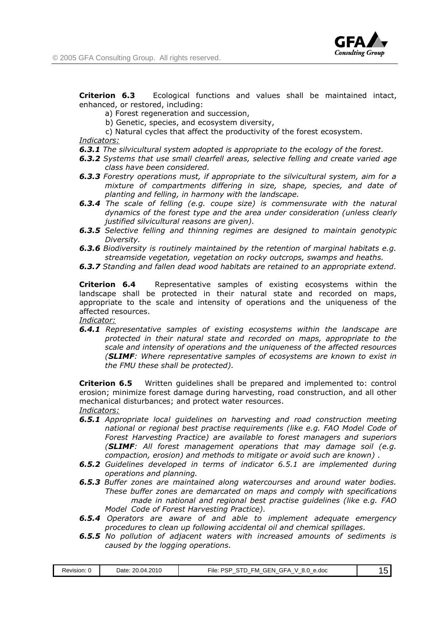

**Criterion 6.3** Ecological functions and values shall be maintained intact, enhanced, or restored, including:

a) Forest regeneration and succession,

b) Genetic, species, and ecosystem diversity,

c) Natural cycles that affect the productivity of the forest ecosystem.

*Indicators:*

- *6.3.1 The silvicultural system adopted is appropriate to the ecology of the forest.*
- *6.3.2 Systems that use small clearfell areas, selective felling and create varied age class have been considered.*
- *6.3.3 Forestry operations must, if appropriate to the silvicultural system, aim for a mixture of compartments differing in size, shape, species, and date of planting and felling, in harmony with the landscape.*
- *6.3.4 The scale of felling (e.g. coupe size) is commensurate with the natural dynamics of the forest type and the area under consideration (unless clearly justified silvicultural reasons are given).*
- *6.3.5 Selective felling and thinning regimes are designed to maintain genotypic Diversity.*
- *6.3.6 Biodiversity is routinely maintained by the retention of marginal habitats e.g. streamside vegetation, vegetation on rocky outcrops, swamps and heaths.*
- *6.3.7 Standing and fallen dead wood habitats are retained to an appropriate extend.*

**Criterion 6.4** Representative samples of existing ecosystems within the landscape shall be protected in their natural state and recorded on maps, appropriate to the scale and intensity of operations and the uniqueness of the affected resources.

*Indicator:*

*6.4.1 Representative samples of existing ecosystems within the landscape are protected in their natural state and recorded on maps, appropriate to the scale and intensity of operations and the uniqueness of the affected resources (SLIMF: Where representative samples of ecosystems are known to exist in the FMU these shall be protected).*

**Criterion 6.5** Written guidelines shall be prepared and implemented to: control erosion; minimize forest damage during harvesting, road construction, and all other mechanical disturbances; and protect water resources.

- *Indicators:*
- *6.5.1 Appropriate local guidelines on harvesting and road construction meeting national or regional best practise requirements (like e.g. FAO Model Code of Forest Harvesting Practice) are available to forest managers and superiors (SLIMF: All forest management operations that may damage soil (e.g. compaction, erosion) and methods to mitigate or avoid such are known) .*
- *6.5.2 Guidelines developed in terms of indicator 6.5.1 are implemented during operations and planning.*
- *6.5.3 Buffer zones are maintained along watercourses and around water bodies. These buffer zones are demarcated on maps and comply with specifications made in national and regional best practise guidelines (like e.g. FAO Model Code of Forest Harvesting Practice).*
- *6.5.4 Operators are aware of and able to implement adequate emergency procedures to clean up following accidental oil and chemical spillages.*
- *6.5.5 No pollution of adjacent waters with increased amounts of sediments is caused by the logging operations.*

|  | Revision:<br>. | 1.2010<br>or<br>$\Omega$<br>Date<br>$\sim$ | ויאר<br>e.doc<br>ЧM−<br>∙ıle<br>∵∗Ni<br>⊐ات<br>⊣⇔<br>۰٦E<br>o.u<br>$\overline{\phantom{a}}$<br>$-$<br>$\overline{\phantom{a}}$<br>_<br>$\overline{\phantom{a}}$<br>$\overline{\phantom{a}}$<br>$\overline{\phantom{a}}$ |  |
|--|----------------|--------------------------------------------|-------------------------------------------------------------------------------------------------------------------------------------------------------------------------------------------------------------------------|--|
|--|----------------|--------------------------------------------|-------------------------------------------------------------------------------------------------------------------------------------------------------------------------------------------------------------------------|--|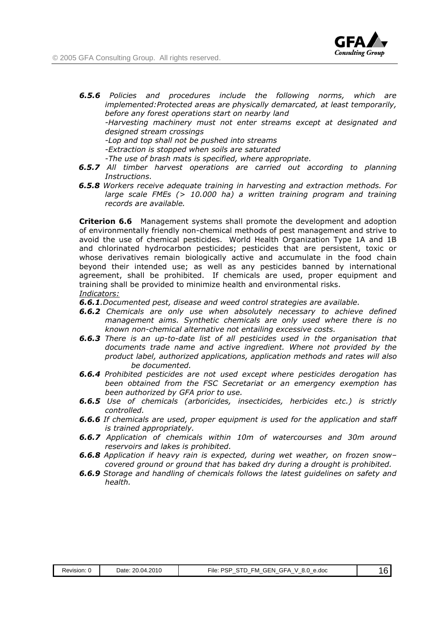

*6.5.6 Policies and procedures include the following norms, which are implemented:Protected areas are physically demarcated, at least temporarily, before any forest operations start on nearby land*

*-Harvesting machinery must not enter streams except at designated and designed stream crossings* 

*-Lop and top shall not be pushed into streams*

*-Extraction is stopped when soils are saturated*

*-The use of brash mats is specified, where appropriate.*

- *6.5.7 All timber harvest operations are carried out according to planning Instructions.*
- *6.5.8 Workers receive adequate training in harvesting and extraction methods. For large scale FMEs (> 10.000 ha) a written training program and training records are available.*

**Criterion 6.6** Management systems shall promote the development and adoption of environmentally friendly non-chemical methods of pest management and strive to avoid the use of chemical pesticides. World Health Organization Type 1A and 1B and chlorinated hydrocarbon pesticides; pesticides that are persistent, toxic or whose derivatives remain biologically active and accumulate in the food chain beyond their intended use; as well as any pesticides banned by international agreement, shall be prohibited. If chemicals are used, proper equipment and training shall be provided to minimize health and environmental risks. *Indicators:*

*6.6.1.Documented pest, disease and weed control strategies are available.*

- *6.6.2 Chemicals are only use when absolutely necessary to achieve defined management aims. Synthetic chemicals are only used where there is no known non-chemical alternative not entailing excessive costs.*
- *6.6.3 There is an up-to-date list of all pesticides used in the organisation that documents trade name and active ingredient. Where not provided by the product label, authorized applications, application methods and rates will also be documented.*
- *6.6.4 Prohibited pesticides are not used except where pesticides derogation has been obtained from the FSC Secretariat or an emergency exemption has been authorized by GFA prior to use.*
- *6.6.5 Use of chemicals (arboricides, insecticides, herbicides etc.) is strictly controlled.*
- *6.6.6 If chemicals are used, proper equipment is used for the application and staff is trained appropriately.*
- *6.6.7 Application of chemicals within 10m of watercourses and 30m around reservoirs and lakes is prohibited.*
- *6.6.8 Application if heavy rain is expected, during wet weather, on frozen snow– covered ground or ground that has baked dry during a drought is prohibited.*
- *6.6.9 Storage and handling of chemicals follows the latest guidelines on safety and health.*

| <b>GFA</b><br><b>GEN</b><br>PSP<br>FM<br>≂ile:<br>20.04.2010<br>8.0<br>STD<br>Date:<br>e.doc<br>Revision:<br>$\sim$<br>∼<br>-<br>$\overline{\phantom{a}}$ | 16. |
|-----------------------------------------------------------------------------------------------------------------------------------------------------------|-----|
|-----------------------------------------------------------------------------------------------------------------------------------------------------------|-----|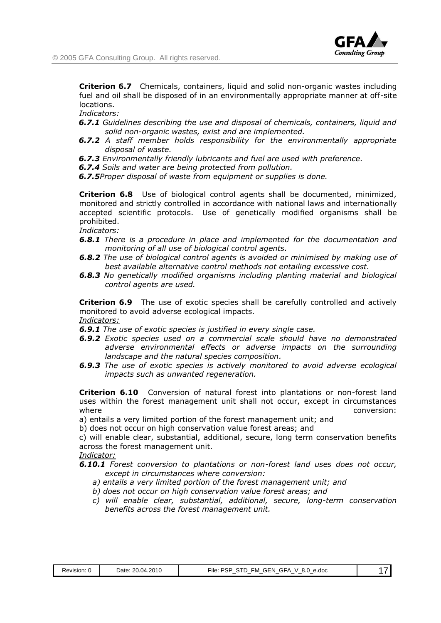

**Criterion 6.7** Chemicals, containers, liquid and solid non-organic wastes including fuel and oil shall be disposed of in an environmentally appropriate manner at off-site locations.

#### *Indicators:*

- *6.7.1 Guidelines describing the use and disposal of chemicals, containers, liquid and solid non-organic wastes, exist and are implemented.*
- *6.7.2 A staff member holds responsibility for the environmentally appropriate disposal of waste.*
- *6.7.3 Environmentally friendly lubricants and fuel are used with preference.*
- *6.7.4 Soils and water are being protected from pollution.*
- *6.7.5Proper disposal of waste from equipment or supplies is done.*

**Criterion 6.8** Use of biological control agents shall be documented, minimized, monitored and strictly controlled in accordance with national laws and internationally accepted scientific protocols. Use of genetically modified organisms shall be prohibited.

#### *Indicators:*

- *6.8.1 There is a procedure in place and implemented for the documentation and monitoring of all use of biological control agents.*
- *6.8.2 The use of biological control agents is avoided or minimised by making use of best available alternative control methods not entailing excessive cost.*
- *6.8.3 No genetically modified organisms including planting material and biological control agents are used.*

**Criterion 6.9** The use of exotic species shall be carefully controlled and actively monitored to avoid adverse ecological impacts.

*Indicators:*

- *6.9.1 The use of exotic species is justified in every single case.*
- *6.9.2 Exotic species used on a commercial scale should have no demonstrated adverse environmental effects or adverse impacts on the surrounding landscape and the natural species composition.*
- *6.9.3 The use of exotic species is actively monitored to avoid adverse ecological impacts such as unwanted regeneration.*

**Criterion 6.10** Conversion of natural forest into plantations or non-forest land uses within the forest management unit shall not occur, except in circumstances where  $\blacksquare$ 

a) entails a very limited portion of the forest management unit; and

b) does not occur on high conservation value forest areas; and

c) will enable clear, substantial, additional, secure, long term conservation benefits across the forest management unit.

- *6.10.1 Forest conversion to plantations or non-forest land uses does not occur, except in circumstances where conversion:*
	- *a) entails a very limited portion of the forest management unit; and*
	- *b) does not occur on high conservation value forest areas; and*
	- *c) will enable clear, substantial, additional, secure, long-term conservation benefits across the forest management unit.*

| Revision. | 4.2010<br>20.04<br>Date: | ---<br>ററെ<br>$\sim$<br>- GF^.<br>e.doc<br><br>G⊢N<br>⊢ıle.<br>'M<br>$\cdot$<br>.<br><u>- —</u><br>$\overline{\phantom{a}}$<br>$\overline{\phantom{a}}$<br>$\overline{\phantom{a}}$<br>$\overline{\phantom{a}}$ |  |
|-----------|--------------------------|-----------------------------------------------------------------------------------------------------------------------------------------------------------------------------------------------------------------|--|
|           |                          |                                                                                                                                                                                                                 |  |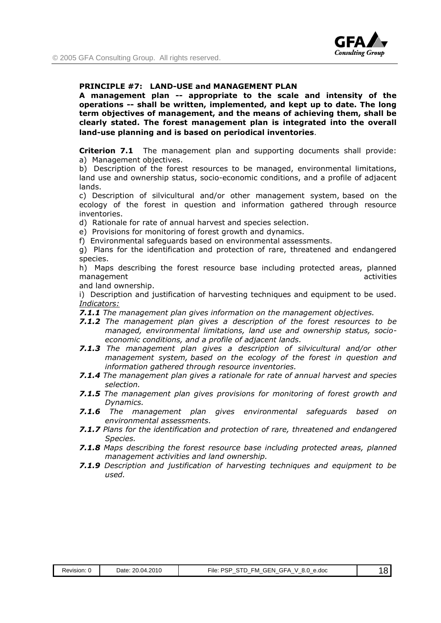

#### **PRINCIPLE #7: LAND-USE and MANAGEMENT PLAN**

**A management plan -- appropriate to the scale and intensity of the operations -- shall be written, implemented, and kept up to date. The long term objectives of management, and the means of achieving them, shall be clearly stated. The forest management plan is integrated into the overall land-use planning and is based on periodical inventories**.

**Criterion 7.1** The management plan and supporting documents shall provide: a) Management objectives.

b) Description of the forest resources to be managed, environmental limitations, land use and ownership status, socio-economic conditions, and a profile of adjacent lands.

c) Description of silvicultural and/or other management system, based on the ecology of the forest in question and information gathered through resource inventories.

d) Rationale for rate of annual harvest and species selection.

e) Provisions for monitoring of forest growth and dynamics.

f) Environmental safeguards based on environmental assessments.

g) Plans for the identification and protection of rare, threatened and endangered species.

h) Maps describing the forest resource base including protected areas, planned management activities and the contract of the contract of the contract of the contract of the contract of the contract of the contract of the contract of the contract of the contract of the contract of the contract of the

and land ownership.

i) Description and justification of harvesting techniques and equipment to be used. *Indicators:*

*7.1.1 The management plan gives information on the management objectives.*

- *7.1.2 The management plan gives a description of the forest resources to be managed, environmental limitations, land use and ownership status, socioeconomic conditions, and a profile of adjacent lands.*
- *7.1.3 The management plan gives a description of silvicultural and/or other management system, based on the ecology of the forest in question and information gathered through resource inventories.*
- *7.1.4 The management plan gives a rationale for rate of annual harvest and species selection.*
- *7.1.5 The management plan gives provisions for monitoring of forest growth and Dynamics.*
- *7.1.6 The management plan gives environmental safeguards based on environmental assessments.*
- *7.1.7 Plans for the identification and protection of rare, threatened and endangered Species.*
- *7.1.8 Maps describing the forest resource base including protected areas, planned management activities and land ownership.*
- *7.1.9 Description and justification of harvesting techniques and equipment to be used.*

| ÷Μ<br>e.doc<br>Date<br>GEN<br>(-ì⊢A<br>Revision:<br>`-ıle.<br>. .<br>o.v<br>. .<br>-<br>_ |  | 4.2010<br>20.04 | $\sim$ $-$<br><b>PSP</b> |  |
|-------------------------------------------------------------------------------------------|--|-----------------|--------------------------|--|
|-------------------------------------------------------------------------------------------|--|-----------------|--------------------------|--|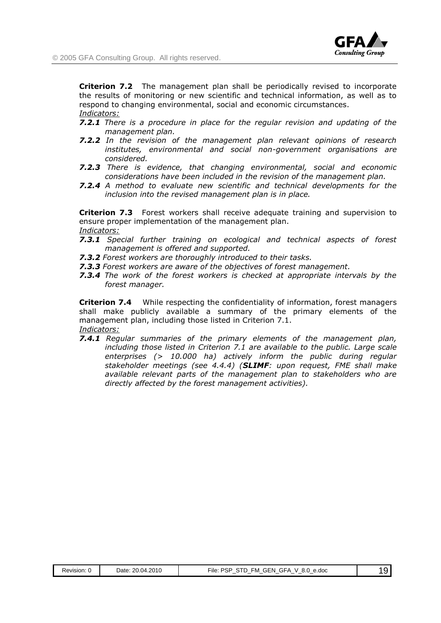

**Criterion 7.2** The management plan shall be periodically revised to incorporate the results of monitoring or new scientific and technical information, as well as to respond to changing environmental, social and economic circumstances. *Indicators:*

- *7.2.1 There is a procedure in place for the regular revision and updating of the management plan.*
- *7.2.2 In the revision of the management plan relevant opinions of research institutes, environmental and social non-government organisations are considered.*
- *7.2.3 There is evidence, that changing environmental, social and economic considerations have been included in the revision of the management plan.*
- *7.2.4 A method to evaluate new scientific and technical developments for the inclusion into the revised management plan is in place.*

**Criterion 7.3** Forest workers shall receive adequate training and supervision to ensure proper implementation of the management plan. *Indicators:*

- *7.3.1 Special further training on ecological and technical aspects of forest management is offered and supported.*
- *7.3.2 Forest workers are thoroughly introduced to their tasks.*
- *7.3.3 Forest workers are aware of the objectives of forest management.*
- *7.3.4 The work of the forest workers is checked at appropriate intervals by the forest manager.*

**Criterion 7.4** While respecting the confidentiality of information, forest managers shall make publicly available a summary of the primary elements of the management plan, including those listed in Criterion 7.1. *Indicators:*

*7.4.1 Regular summaries of the primary elements of the management plan, including those listed in Criterion 7.1 are available to the public. Large scale enterprises (> 10.000 ha) actively inform the public during regular stakeholder meetings (see 4.4.4) (SLIMF: upon request, FME shall make available relevant parts of the management plan to stakeholders who are directly affected by the forest management activities).*

| GFA<br>$-\cdot$ .<br>GEN<br><b>PSP</b><br>1.2010<br><b>STD</b><br>8.0<br>FM.<br>20.04<br>Date<br>e.doc<br>Чlе.<br>Revision: |  |
|-----------------------------------------------------------------------------------------------------------------------------|--|
|-----------------------------------------------------------------------------------------------------------------------------|--|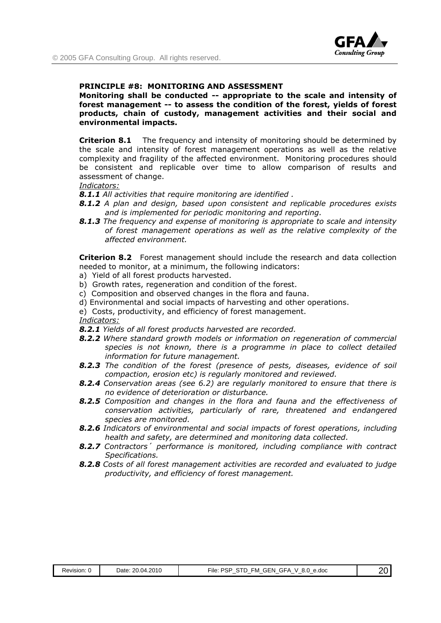

### **PRINCIPLE #8: MONITORING AND ASSESSMENT**

**Monitoring shall be conducted -- appropriate to the scale and intensity of forest management -- to assess the condition of the forest, yields of forest products, chain of custody, management activities and their social and environmental impacts.**

**Criterion 8.1** The frequency and intensity of monitoring should be determined by the scale and intensity of forest management operations as well as the relative complexity and fragility of the affected environment. Monitoring procedures should be consistent and replicable over time to allow comparison of results and assessment of change.

#### *Indicators:*

- *8.1.1 All activities that require monitoring are identified .*
- *8.1.2 A plan and design, based upon consistent and replicable procedures exists and is implemented for periodic monitoring and reporting.*
- *8.1.3 The frequency and expense of monitoring is appropriate to scale and intensity of forest management operations as well as the relative complexity of the affected environment.*

**Criterion 8.2** Forest management should include the research and data collection needed to monitor, at a minimum, the following indicators:

- a) Yield of all forest products harvested.
- b) Growth rates, regeneration and condition of the forest.
- c) Composition and observed changes in the flora and fauna.
- d) Environmental and social impacts of harvesting and other operations.
- e) Costs, productivity, and efficiency of forest management.

- *8.2.1 Yields of all forest products harvested are recorded.*
- *8.2.2 Where standard growth models or information on regeneration of commercial species is not known, there is a programme in place to collect detailed information for future management.*
- *8.2.3 The condition of the forest (presence of pests, diseases, evidence of soil compaction, erosion etc) is regularly monitored and reviewed.*
- *8.2.4 Conservation areas (see 6.2) are regularly monitored to ensure that there is no evidence of deterioration or disturbance.*
- *8.2.5 Composition and changes in the flora and fauna and the effectiveness of conservation activities, particularly of rare, threatened and endangered species are monitored.*
- *8.2.6 Indicators of environmental and social impacts of forest operations, including health and safety, are determined and monitoring data collected.*
- *8.2.7 Contractors´ performance is monitored, including compliance with contract Specifications.*
- *8.2.8 Costs of all forest management activities are recorded and evaluated to judge productivity, and efficiency of forest management.*

| Revision: | Date: 20.04.2010 | <b>GFA</b><br><b>GEN</b><br><b>PSP</b><br>FM<br><b>STD</b><br>Fig.<br>8.0<br>e.doc<br>$\mathcal{L}$ | $\mathbf{r}$ |
|-----------|------------------|-----------------------------------------------------------------------------------------------------|--------------|
|-----------|------------------|-----------------------------------------------------------------------------------------------------|--------------|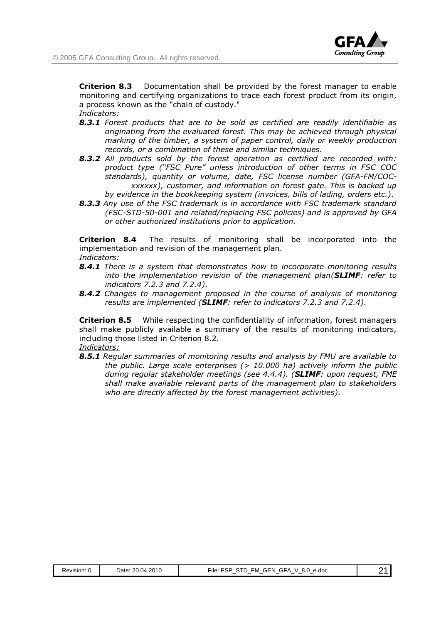

**Criterion 8.3** Documentation shall be provided by the forest manager to enable monitoring and certifying organizations to trace each forest product from its origin, a process known as the "chain of custody." *Indicators:*

- *8.3.1 Forest products that are to be sold as certified are readily identifiable as originating from the evaluated forest. This may be achieved through physical marking of the timber, a system of paper control, daily or weekly production records, or a combination of these and similar techniques.*
- *8.3.2 All products sold by the forest operation as certified are recorded with: product type ("FSC Pure" unless introduction of other terms in FSC COC standards), quantity or volume, date, FSC license number (GFA-FM/COCxxxxxx), customer, and information on forest gate. This is backed up by evidence in the bookkeeping system (invoices, bills of lading, orders etc.).*
- *8.3.3 Any use of the FSC trademark is in accordance with FSC trademark standard (FSC-STD-50-001 and related/replacing FSC policies) and is approved by GFA or other authorized institutions prior to application.*

**Criterion 8.4** The results of monitoring shall be incorporated into the implementation and revision of the management plan. *Indicators:*

- *8.4.1 There is a system that demonstrates how to incorporate monitoring results into the implementation revision of the management plan(SLIMF: refer to indicators 7.2.3 and 7.2.4).*
- *8.4.2 Changes to management proposed in the course of analysis of monitoring results are implemented (SLIMF: refer to indicators 7.2.3 and 7.2.4).*

**Criterion 8.5** While respecting the confidentiality of information, forest managers shall make publicly available a summary of the results of monitoring indicators, including those listed in Criterion 8.2.

*Indicators:*

*8.5.1 Regular summaries of monitoring results and analysis by FMU are available to the public. Large scale enterprises (> 10.000 ha) actively inform the public during regular stakeholder meetings (see 4.4.4). (SLIMF: upon request, FME shall make available relevant parts of the management plan to stakeholders who are directly affected by the forest management activities).*

| ⊀evision:<br>л. | 20.04.2010<br>⊃ate | ---<br>ົ<br>ner<br><b>ТГ.</b><br>.-FN<br>e.doc<br>Eile.<br>∽M<br>$\cdot$ $\cdot$<br>ι-ι−<br>ö.l<br>ாட<br>ு<br>-<br>-<br>-<br>$\overline{\phantom{a}}$<br>_<br>$\sim$<br>$\overline{\phantom{a}}$ |  |
|-----------------|--------------------|--------------------------------------------------------------------------------------------------------------------------------------------------------------------------------------------------|--|
|                 |                    |                                                                                                                                                                                                  |  |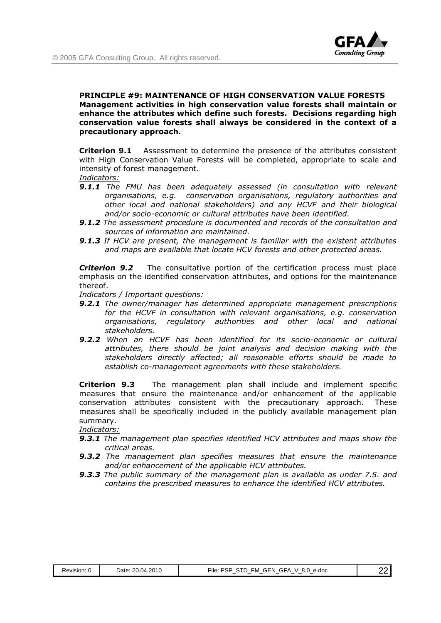

#### **PRINCIPLE #9: MAINTENANCE OF HIGH CONSERVATION VALUE FORESTS Management activities in high conservation value forests shall maintain or enhance the attributes which define such forests. Decisions regarding high conservation value forests shall always be considered in the context of a precautionary approach.**

**Criterion 9.1** Assessment to determine the presence of the attributes consistent with High Conservation Value Forests will be completed, appropriate to scale and intensity of forest management.

- *Indicators:*
- *9.1.1 The FMU has been adequately assessed (in consultation with relevant organisations, e.g. conservation organisations, regulatory authorities and other local and national stakeholders) and any HCVF and their biological and/or socio-economic or cultural attributes have been identified.*
- *9.1.2 The assessment procedure is documented and records of the consultation and sources of information are maintained.*
- *9.1.3 If HCV are present, the management is familiar with the existent attributes and maps are available that locate HCV forests and other protected areas.*

*Criterion 9.2* The consultative portion of the certification process must place emphasis on the identified conservation attributes, and options for the maintenance thereof.

*Indicators / Important questions:*

- *9.2.1 The owner/manager has determined appropriate management prescriptions for the HCVF in consultation with relevant organisations, e.g. conservation organisations, regulatory authorities and other local and national stakeholders.*
- *9.2.2 When an HCVF has been identified for its socio-economic or cultural attributes, there should be joint analysis and decision making with the stakeholders directly affected; all reasonable efforts should be made to establish co-management agreements with these stakeholders.*

**Criterion 9.3** The management plan shall include and implement specific measures that ensure the maintenance and/or enhancement of the applicable conservation attributes consistent with the precautionary approach. These measures shall be specifically included in the publicly available management plan summary.

- *9.3.1 The management plan specifies identified HCV attributes and maps show the critical areas.*
- *9.3.2 The management plan specifies measures that ensure the maintenance and/or enhancement of the applicable HCV attributes.*
- *9.3.3 The public summary of the management plan is available as under 7.5. and contains the prescribed measures to enhance the identified HCV attributes.*

| Revision: | 20.04.2010<br>⊃ate: | <b>GFA</b><br><b>GEN</b><br><b>PSP</b><br>FM<br>File:<br>8.0<br>STD<br>e.doc<br>$\overline{\phantom{0}}$<br>∼<br>-<br>$\overline{\phantom{a}}$ |  |
|-----------|---------------------|------------------------------------------------------------------------------------------------------------------------------------------------|--|
|-----------|---------------------|------------------------------------------------------------------------------------------------------------------------------------------------|--|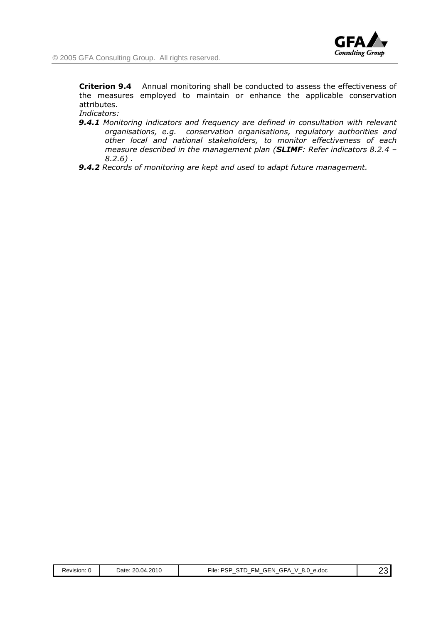

**Criterion 9.4** Annual monitoring shall be conducted to assess the effectiveness of the measures employed to maintain or enhance the applicable conservation attributes.

- *9.4.1 Monitoring indicators and frequency are defined in consultation with relevant organisations, e.g. conservation organisations, regulatory authorities and other local and national stakeholders, to monitor effectiveness of each measure described in the management plan (SLIMF: Refer indicators 8.2.4 – 8.2.6) .*
- *9.4.2 Records of monitoring are kept and used to adapt future management.*

| 4.2010<br>3.0<br>C<br>GEN<br>. PSP<br>GFA<br>20.04<br>e.doc<br>Date<br>-M<br>∵lle:<br>Revision:<br>- | -- |
|------------------------------------------------------------------------------------------------------|----|
|------------------------------------------------------------------------------------------------------|----|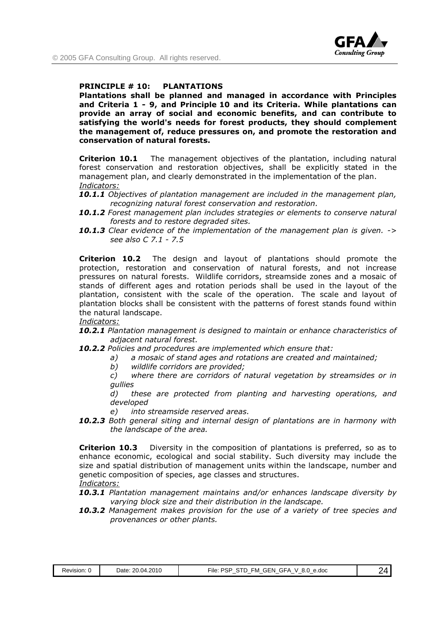

## **PRINCIPLE # 10: PLANTATIONS**

**Plantations shall be planned and managed in accordance with Principles and Criteria 1 - 9, and Principle 10 and its Criteria. While plantations can provide an array of social and economic benefits, and can contribute to satisfying the world's needs for forest products, they should complement the management of, reduce pressures on, and promote the restoration and conservation of natural forests.**

**Criterion 10.1** The management objectives of the plantation, including natural forest conservation and restoration objectives, shall be explicitly stated in the management plan, and clearly demonstrated in the implementation of the plan. *Indicators:*

- *10.1.1 Objectives of plantation management are included in the management plan, recognizing natural forest conservation and restoration.*
- *10.1.2 Forest management plan includes strategies or elements to conserve natural forests and to restore degraded sites.*
- *10.1.3 Clear evidence of the implementation of the management plan is given. -> see also C 7.1 - 7.5*

**Criterion 10.2** The design and layout of plantations should promote the protection, restoration and conservation of natural forests, and not increase pressures on natural forests. Wildlife corridors, streamside zones and a mosaic of stands of different ages and rotation periods shall be used in the layout of the plantation, consistent with the scale of the operation. The scale and layout of plantation blocks shall be consistent with the patterns of forest stands found within the natural landscape.

#### *Indicators:*

*10.2.1 Plantation management is designed to maintain or enhance characteristics of adjacent natural forest.*

*10.2.2 Policies and procedures are implemented which ensure that:*

- *a) a mosaic of stand ages and rotations are created and maintained;*
- *b) wildlife corridors are provided;*

*c) where there are corridors of natural vegetation by streamsides or in gullies* 

*d) these are protected from planting and harvesting operations, and developed*

*e) into streamside reserved areas.*

*10.2.3 Both general siting and internal design of plantations are in harmony with the landscape of the area.*

**Criterion 10.3** Diversity in the composition of plantations is preferred, so as to enhance economic, ecological and social stability. Such diversity may include the size and spatial distribution of management units within the landscape, number and genetic composition of species, age classes and structures. *Indicators:*

- *10.3.1 Plantation management maintains and/or enhances landscape diversity by varying block size and their distribution in the landscape.*
- *10.3.2 Management makes provision for the use of a variety of tree species and provenances or other plants.*

| Revision: | 20.04.2010<br>Date | File.<br>ner<br>$\Omega$<br>тn<br>GEN<br>GFA<br>-M<br>e.doc<br>o.u<br>M<br>ъr<br>` I L<br>-<br>$\overline{\phantom{a}}$<br>_<br>$\overline{\phantom{a}}$ | Λ |
|-----------|--------------------|----------------------------------------------------------------------------------------------------------------------------------------------------------|---|
|           |                    |                                                                                                                                                          |   |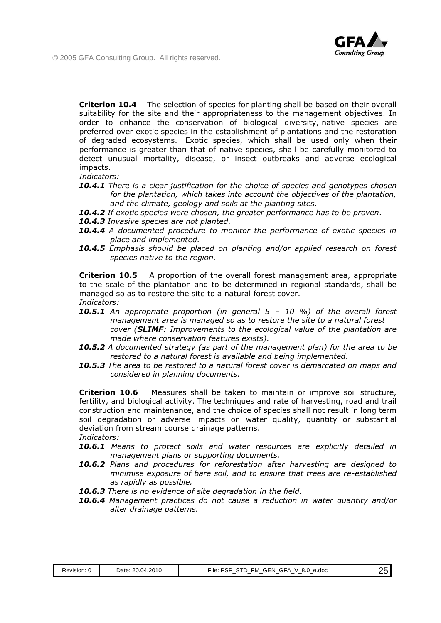

**Criterion 10.4** The selection of species for planting shall be based on their overall suitability for the site and their appropriateness to the management objectives. In order to enhance the conservation of biological diversity, native species are preferred over exotic species in the establishment of plantations and the restoration of degraded ecosystems. Exotic species, which shall be used only when their performance is greater than that of native species, shall be carefully monitored to detect unusual mortality, disease, or insect outbreaks and adverse ecological impacts.

#### *Indicators:*

- *10.4.1 There is a clear justification for the choice of species and genotypes chosen*  for the plantation, which takes into account the objectives of the plantation, *and the climate, geology and soils at the planting sites.*
- *10.4.2 If exotic species were chosen, the greater performance has to be proven.*
- *10.4.3 Invasive species are not planted.*
- *10.4.4 A documented procedure to monitor the performance of exotic species in place and implemented.*
- *10.4.5 Emphasis should be placed on planting and/or applied research on forest species native to the region.*

**Criterion 10.5** A proportion of the overall forest management area, appropriate to the scale of the plantation and to be determined in regional standards, shall be managed so as to restore the site to a natural forest cover. *Indicators:*

- *10.5.1 An appropriate proportion (in general 5 – 10 %) of the overall forest management area is managed so as to restore the site to a natural forest cover (SLIMF: Improvements to the ecological value of the plantation are made where conservation features exists).*
- *10.5.2 A documented strategy (as part of the management plan) for the area to be restored to a natural forest is available and being implemented.*
- *10.5.3 The area to be restored to a natural forest cover is demarcated on maps and considered in planning documents.*

**Criterion 10.6** Measures shall be taken to maintain or improve soil structure, fertility, and biological activity. The techniques and rate of harvesting, road and trail construction and maintenance, and the choice of species shall not result in long term soil degradation or adverse impacts on water quality, quantity or substantial deviation from stream course drainage patterns. *Indicators:*

- *10.6.1 Means to protect soils and water resources are explicitly detailed in management plans or supporting documents.*
- *10.6.2 Plans and procedures for reforestation after harvesting are designed to minimise exposure of bare soil, and to ensure that trees are re-established as rapidly as possible.*
- *10.6.3 There is no evidence of site degradation in the field.*
- *10.6.4 Management practices do not cause a reduction in water quantity and/or alter drainage patterns.*

| Revision: | 4.2010<br>20.04<br>Date | ---<br>DQL<br>8.0<br>ິ<br>GEN<br>GEA<br>۰M<br>e.doc<br>≻ıle<br>וכי | $\mathbf{v}$ |
|-----------|-------------------------|--------------------------------------------------------------------|--------------|
|-----------|-------------------------|--------------------------------------------------------------------|--------------|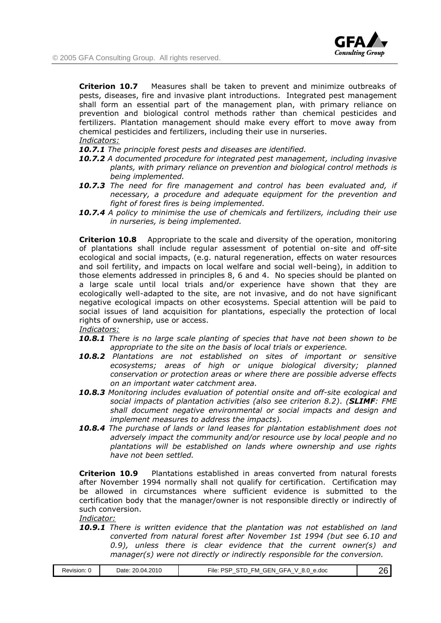

**Criterion 10.7** Measures shall be taken to prevent and minimize outbreaks of pests, diseases, fire and invasive plant introductions. Integrated pest management shall form an essential part of the management plan, with primary reliance on prevention and biological control methods rather than chemical pesticides and fertilizers. Plantation management should make every effort to move away from chemical pesticides and fertilizers, including their use in nurseries. *Indicators:*

*10.7.1 The principle forest pests and diseases are identified.*

- *10.7.2 A documented procedure for integrated pest management, including invasive plants, with primary reliance on prevention and biological control methods is being implemented.*
- *10.7.3 The need for fire management and control has been evaluated and, if necessary, a procedure and adequate equipment for the prevention and fight of forest fires is being implemented.*
- *10.7.4 A policy to minimise the use of chemicals and fertilizers, including their use in nurseries, is being implemented.*

**Criterion 10.8** Appropriate to the scale and diversity of the operation, monitoring of plantations shall include regular assessment of potential on-site and off-site ecological and social impacts, (e.g. natural regeneration, effects on water resources and soil fertility, and impacts on local welfare and social well-being), in addition to those elements addressed in principles 8, 6 and 4. No species should be planted on a large scale until local trials and/or experience have shown that they are ecologically well-adapted to the site, are not invasive, and do not have significant negative ecological impacts on other ecosystems. Special attention will be paid to social issues of land acquisition for plantations, especially the protection of local rights of ownership, use or access.

*Indicators:*

- *10.8.1 There is no large scale planting of species that have not been shown to be appropriate to the site on the basis of local trials or experience.*
- *10.8.2 Plantations are not established on sites of important or sensitive ecosystems; areas of high or unique biological diversity; planned conservation or protection areas or where there are possible adverse effects on an important water catchment area.*
- *10.8.3 Monitoring includes evaluation of potential onsite and off-site ecological and social impacts of plantation activities (also see criterion 8.2). (SLIMF: FME shall document negative environmental or social impacts and design and implement measures to address the impacts).*
- *10.8.4 The purchase of lands or land leases for plantation establishment does not adversely impact the community and/or resource use by local people and no plantations will be established on lands where ownership and use rights have not been settled.*

**Criterion 10.9** Plantations established in areas converted from natural forests after November 1994 normally shall not qualify for certification. Certification may be allowed in circumstances where sufficient evidence is submitted to the certification body that the manager/owner is not responsible directly or indirectly of such conversion.

*Indicator:*

*10.9.1 There is written evidence that the plantation was not established on land converted from natural forest after November 1st 1994 (but see 6.10 and 0.9), unless there is clear evidence that the current owner(s) and manager(s) were not directly or indirectly responsible for the conversion.*

| Revision | 2010<br>በ4<br>,,<br>)ate<br>$\cdot$ | e.doc<br>∹ile<br>⊢M<br>-NI<br>$\mathbf{r}$<br>. T E<br>ه ۱۳<br>$\mathbf{v}$<br>ີີ<br>$\overline{\phantom{a}}$<br>$\overline{\phantom{a}}$<br>_<br>$\sim$<br>$\overline{\phantom{a}}$<br>$\overline{\phantom{a}}$ | ,,<br>— <u>—</u> |  |
|----------|-------------------------------------|------------------------------------------------------------------------------------------------------------------------------------------------------------------------------------------------------------------|------------------|--|
|          |                                     |                                                                                                                                                                                                                  |                  |  |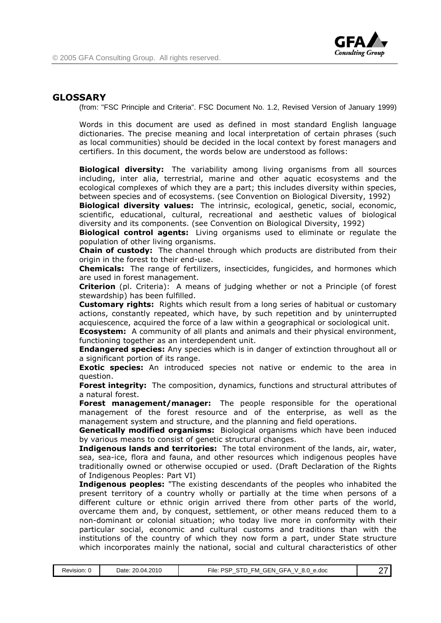

## **GLOSSARY**

(from: "FSC Principle and Criteria". FSC Document No. 1.2, Revised Version of January 1999)

Words in this document are used as defined in most standard English language dictionaries. The precise meaning and local interpretation of certain phrases (such as local communities) should be decided in the local context by forest managers and certifiers. In this document, the words below are understood as follows:

**Biological diversity:** The variability among living organisms from all sources including, inter alia, terrestrial, marine and other aquatic ecosystems and the ecological complexes of which they are a part; this includes diversity within species, between species and of ecosystems. (see Convention on Biological Diversity, 1992)

**Biological diversity values:** The intrinsic, ecological, genetic, social, economic, scientific, educational, cultural, recreational and aesthetic values of biological diversity and its components. (see Convention on Biological Diversity, 1992)

**Biological control agents:** Living organisms used to eliminate or regulate the population of other living organisms.

**Chain of custody:** The channel through which products are distributed from their origin in the forest to their end-use.

**Chemicals:** The range of fertilizers, insecticides, fungicides, and hormones which are used in forest management.

**Criterion** (pl. Criteria): A means of judging whether or not a Principle (of forest stewardship) has been fulfilled.

**Customary rights:** Rights which result from a long series of habitual or customary actions, constantly repeated, which have, by such repetition and by uninterrupted acquiescence, acquired the force of a law within a geographical or sociological unit.

**Ecosystem:** A community of all plants and animals and their physical environment, functioning together as an interdependent unit.

**Endangered species:** Any species which is in danger of extinction throughout all or a significant portion of its range.

**Exotic species:** An introduced species not native or endemic to the area in question.

**Forest integrity:** The composition, dynamics, functions and structural attributes of a natural forest.

**Forest management/manager:** The people responsible for the operational management of the forest resource and of the enterprise, as well as the management system and structure, and the planning and field operations.

**Genetically modified organisms:** Biological organisms which have been induced by various means to consist of genetic structural changes.

**Indigenous lands and territories:** The total environment of the lands, air, water, sea, sea-ice, flora and fauna, and other resources which indigenous peoples have traditionally owned or otherwise occupied or used. (Draft Declaration of the Rights of Indigenous Peoples: Part VI)

**Indigenous peoples:** "The existing descendants of the peoples who inhabited the present territory of a country wholly or partially at the time when persons of a different culture or ethnic origin arrived there from other parts of the world, overcame them and, by conquest, settlement, or other means reduced them to a non-dominant or colonial situation; who today live more in conformity with their particular social, economic and cultural customs and traditions than with the institutions of the country of which they now form a part, under State structure which incorporates mainly the national, social and cultural characteristics of other

|--|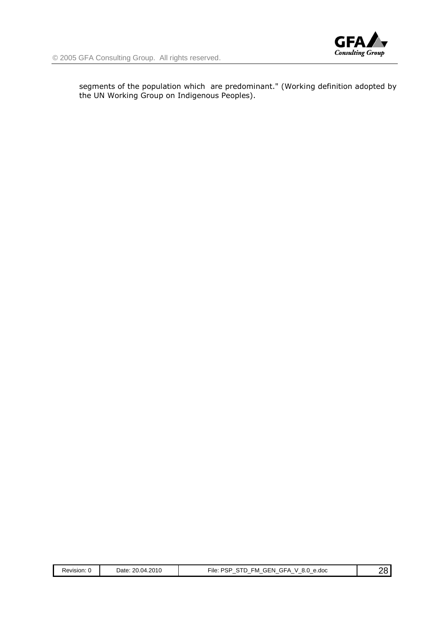

segments of the population which are predominant." (Working definition adopted by the UN Working Group on Indigenous Peoples).

| 4.2010<br>8.0<br>PSF<br>20.0 <sup>2</sup><br>-04<br>GEN<br>Date:<br>e.doc<br>. GF^<br>-ile<br>Revision: C<br>∙M<br>M<br>JC<br>$\overline{\phantom{a}}$<br>$\overline{\phantom{a}}$<br>$\overline{\phantom{a}}$<br>$\sim$<br>-<br>$\overline{\phantom{a}}$<br>_ |  |
|----------------------------------------------------------------------------------------------------------------------------------------------------------------------------------------------------------------------------------------------------------------|--|
|----------------------------------------------------------------------------------------------------------------------------------------------------------------------------------------------------------------------------------------------------------------|--|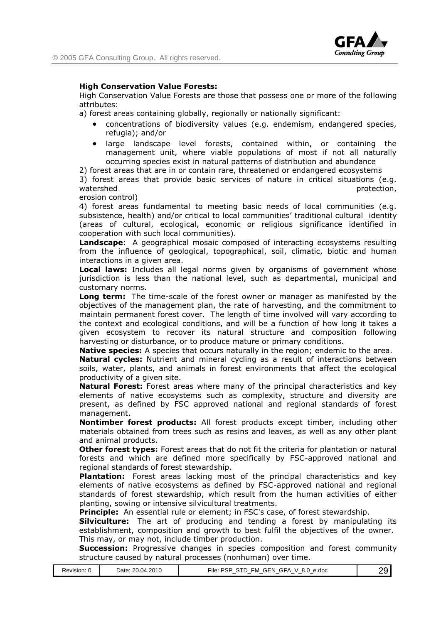

## **High Conservation Value Forests:**

High Conservation Value Forests are those that possess one or more of the following attributes:

a) forest areas containing globally, regionally or nationally significant:

- concentrations of biodiversity values (e.g. endemism, endangered species, refugia); and/or
- large landscape level forests, contained within, or containing the management unit, where viable populations of most if not all naturally occurring species exist in natural patterns of distribution and abundance

2) forest areas that are in or contain rare, threatened or endangered ecosystems

3) forest areas that provide basic services of nature in critical situations (e.g. watershed protection,

erosion control)

4) forest areas fundamental to meeting basic needs of local communities (e.g. subsistence, health) and/or critical to local communities' traditional cultural identity (areas of cultural, ecological, economic or religious significance identified in cooperation with such local communities).

**Landscape**: A geographical mosaic composed of interacting ecosystems resulting from the influence of geological, topographical, soil, climatic, biotic and human interactions in a given area.

**Local laws:** Includes all legal norms given by organisms of government whose jurisdiction is less than the national level, such as departmental, municipal and customary norms.

**Long term:** The time-scale of the forest owner or manager as manifested by the objectives of the management plan, the rate of harvesting, and the commitment to maintain permanent forest cover. The length of time involved will vary according to the context and ecological conditions, and will be a function of how long it takes a given ecosystem to recover its natural structure and composition following harvesting or disturbance, or to produce mature or primary conditions.

**Native species:** A species that occurs naturally in the region; endemic to the area.

**Natural cycles:** Nutrient and mineral cycling as a result of interactions between soils, water, plants, and animals in forest environments that affect the ecological productivity of a given site.

**Natural Forest:** Forest areas where many of the principal characteristics and key elements of native ecosystems such as complexity, structure and diversity are present, as defined by FSC approved national and regional standards of forest management.

**Nontimber forest products:** All forest products except timber, including other materials obtained from trees such as resins and leaves, as well as any other plant and animal products.

**Other forest types:** Forest areas that do not fit the criteria for plantation or natural forests and which are defined more specifically by FSC-approved national and regional standards of forest stewardship.

**Plantation:** Forest areas lacking most of the principal characteristics and key elements of native ecosystems as defined by FSC-approved national and regional standards of forest stewardship, which result from the human activities of either planting, sowing or intensive silvicultural treatments.

**Principle:** An essential rule or element; in FSC's case, of forest stewardship.

**Silviculture:** The art of producing and tending a forest by manipulating its establishment, composition and growth to best fulfil the objectives of the owner. This may, or may not, include timber production.

**Succession:** Progressive changes in species composition and forest community structure caused by natural processes (nonhuman) over time.

| STE<br>-ile.<br>e.doc<br>Pevision:<br>∽м<br>Jate<br>√iFN<br>⊬⊤ت<br>٥۲<br>o.u<br>.<br>$\overline{\phantom{a}}$<br>$\overline{\phantom{a}}$<br>$\overline{\phantom{a}}$<br>$\overline{\phantom{a}}$<br>$\overline{\phantom{a}}$<br>$\overline{\phantom{a}}$<br>$\overline{\phantom{a}}$ |  | 20.04.2010 | $\sim$ $-$<br>$\overline{\phantom{a}}$<br>י הר | . .<br>. .<br>.<br>__ |
|---------------------------------------------------------------------------------------------------------------------------------------------------------------------------------------------------------------------------------------------------------------------------------------|--|------------|------------------------------------------------|-----------------------|
|---------------------------------------------------------------------------------------------------------------------------------------------------------------------------------------------------------------------------------------------------------------------------------------|--|------------|------------------------------------------------|-----------------------|